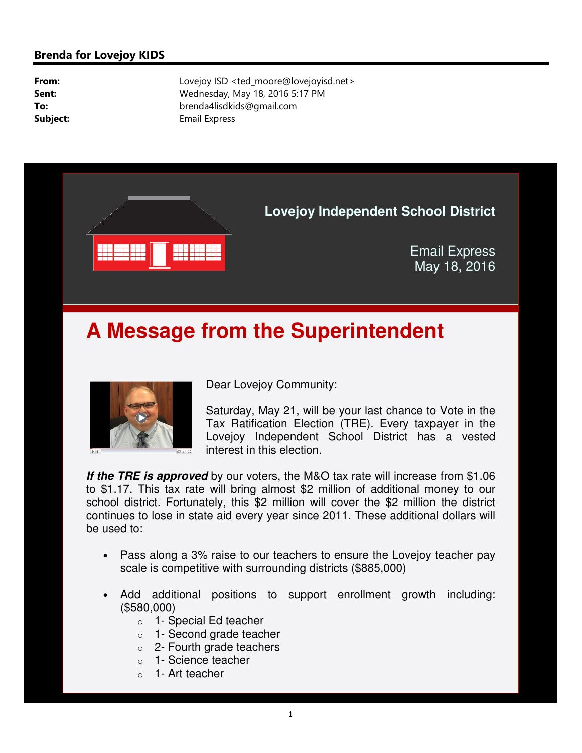### **Brenda for Lovejoy KIDS**

**From:** Lovejoy ISD <ted\_moore@lovejoyisd.net> **Sent:** Wednesday, May 18, 2016 5:17 PM **To:** brenda4lisdkids@gmail.com **Subject:** Email Express



# **A Message from the Superintendent**



Dear Lovejoy Community:

Saturday, May 21, will be your last chance to Vote in the Tax Ratification Election (TRE). Every taxpayer in the Lovejoy Independent School District has a vested interest in this election.

**If the TRE is approved** by our voters, the M&O tax rate will increase from \$1.06 to \$1.17. This tax rate will bring almost \$2 million of additional money to our school district. Fortunately, this \$2 million will cover the \$2 million the district continues to lose in state aid every year since 2011. These additional dollars will be used to:

- Pass along a 3% raise to our teachers to ensure the Lovejoy teacher pay scale is competitive with surrounding districts (\$885,000)
- Add additional positions to support enrollment growth including: (\$580,000)
	- o 1- Special Ed teacher
	- o 1- Second grade teacher
	- $\circ$  2- Fourth grade teachers
	- o 1- Science teacher
	- 1- Art teacher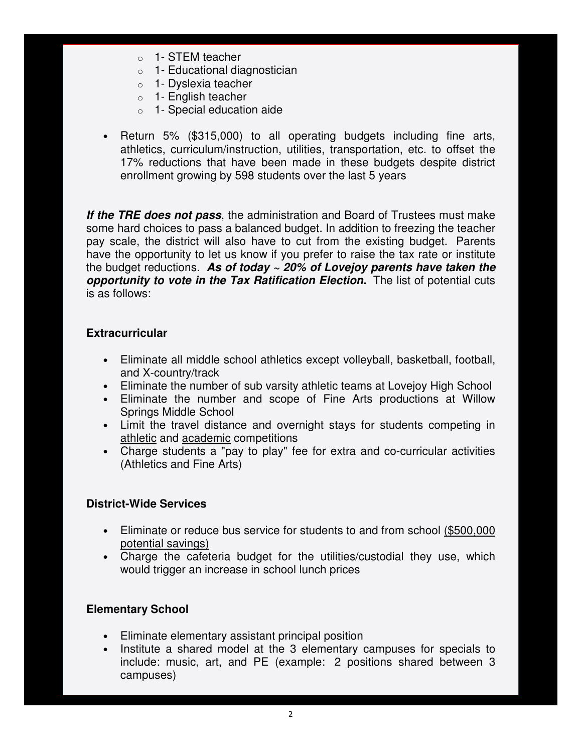- o 1- STEM teacher
- o 1- Educational diagnostician
- o 1- Dyslexia teacher
- o 1- English teacher
- o 1- Special education aide
- Return 5% (\$315,000) to all operating budgets including fine arts, athletics, curriculum/instruction, utilities, transportation, etc. to offset the 17% reductions that have been made in these budgets despite district enrollment growing by 598 students over the last 5 years

**If the TRE does not pass**, the administration and Board of Trustees must make some hard choices to pass a balanced budget. In addition to freezing the teacher pay scale, the district will also have to cut from the existing budget. Parents have the opportunity to let us know if you prefer to raise the tax rate or institute the budget reductions. **As of today ~ 20% of Lovejoy parents have taken the opportunity to vote in the Tax Ratification Election.** The list of potential cuts is as follows:

#### **Extracurricular**

- Eliminate all middle school athletics except volleyball, basketball, football, and X-country/track
- Eliminate the number of sub varsity athletic teams at Lovejoy High School
- Eliminate the number and scope of Fine Arts productions at Willow Springs Middle School
- Limit the travel distance and overnight stays for students competing in athletic and academic competitions
- Charge students a "pay to play" fee for extra and co-curricular activities (Athletics and Fine Arts)

#### **District-Wide Services**

- Eliminate or reduce bus service for students to and from school (\$500,000 potential savings)
- Charge the cafeteria budget for the utilities/custodial they use, which would trigger an increase in school lunch prices

#### **Elementary School**

- Eliminate elementary assistant principal position
- Institute a shared model at the 3 elementary campuses for specials to include: music, art, and PE (example: 2 positions shared between 3 campuses)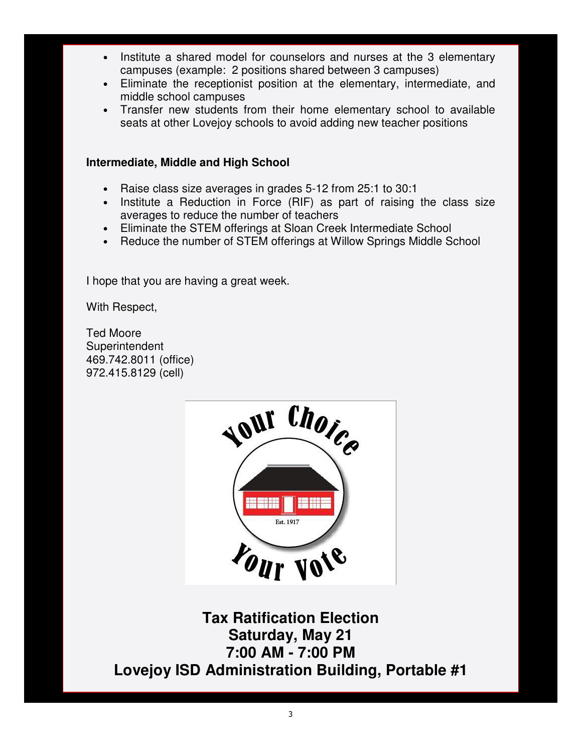- Institute a shared model for counselors and nurses at the 3 elementary campuses (example: 2 positions shared between 3 campuses)
- Eliminate the receptionist position at the elementary, intermediate, and middle school campuses
- Transfer new students from their home elementary school to available seats at other Lovejoy schools to avoid adding new teacher positions

### **Intermediate, Middle and High School**

- Raise class size averages in grades 5-12 from 25:1 to 30:1
- Institute a Reduction in Force (RIF) as part of raising the class size averages to reduce the number of teachers
- Eliminate the STEM offerings at Sloan Creek Intermediate School
- Reduce the number of STEM offerings at Willow Springs Middle School

I hope that you are having a great week.

With Respect,

Ted Moore **Superintendent** 469.742.8011 (office) 972.415.8129 (cell)



**Tax Ratification Election Saturday, May 21 7:00 AM - 7:00 PM Lovejoy ISD Administration Building, Portable #1**